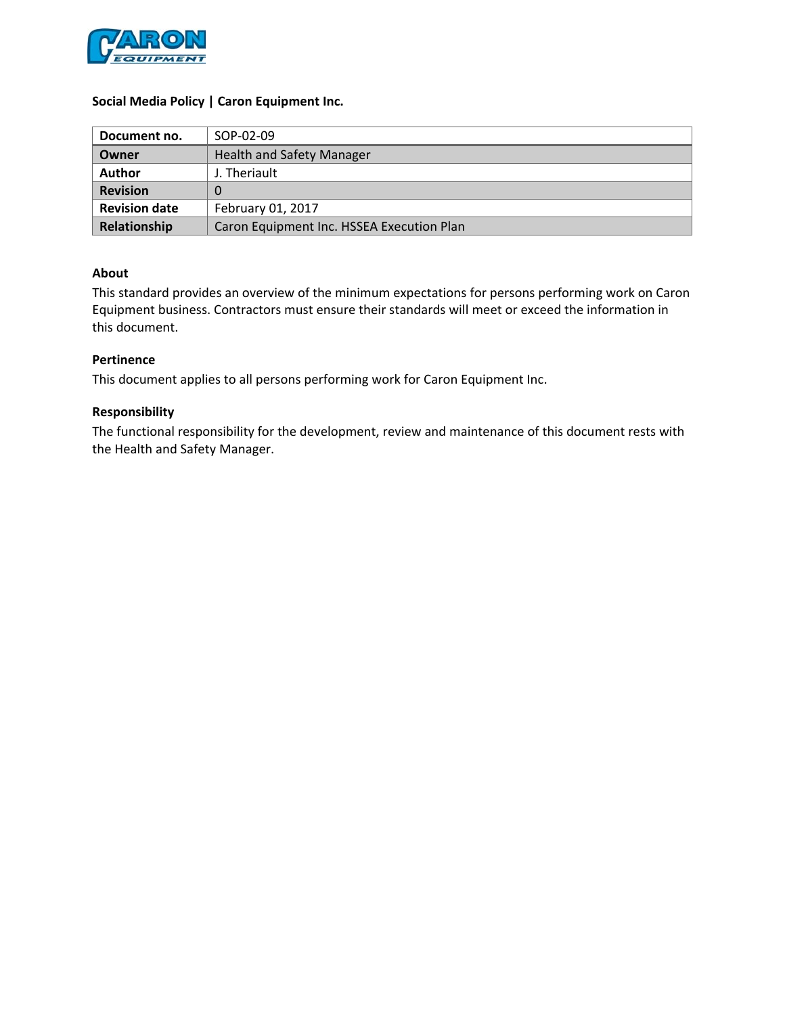

### **Social Media Policy | Caron Equipment Inc.**

| Document no.         | SOP-02-09                                 |  |
|----------------------|-------------------------------------------|--|
| Owner                | <b>Health and Safety Manager</b>          |  |
| <b>Author</b>        | J. Theriault                              |  |
| <b>Revision</b>      |                                           |  |
| <b>Revision date</b> | February 01, 2017                         |  |
| Relationship         | Caron Equipment Inc. HSSEA Execution Plan |  |

### **About**

This standard provides an overview of the minimum expectations for persons performing work on Caron Equipment business. Contractors must ensure their standards will meet or exceed the information in this document.

### **Pertinence**

This document applies to all persons performing work for Caron Equipment Inc.

### **Responsibility**

The functional responsibility for the development, review and maintenance of this document rests with the Health and Safety Manager.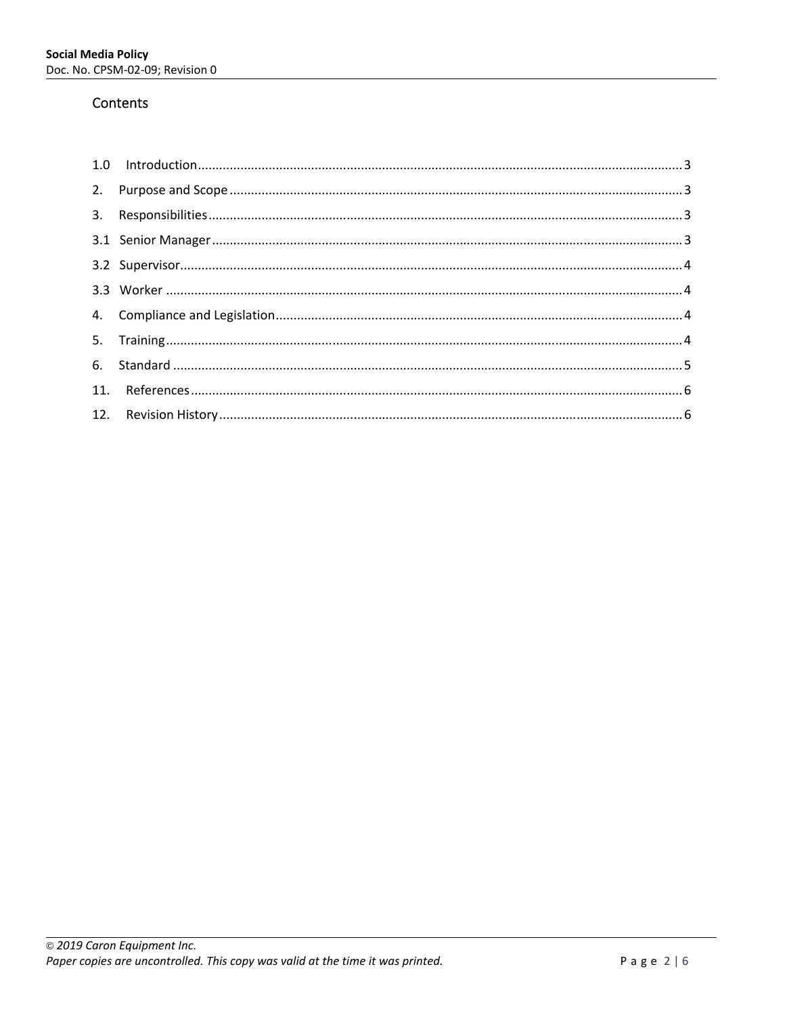# Contents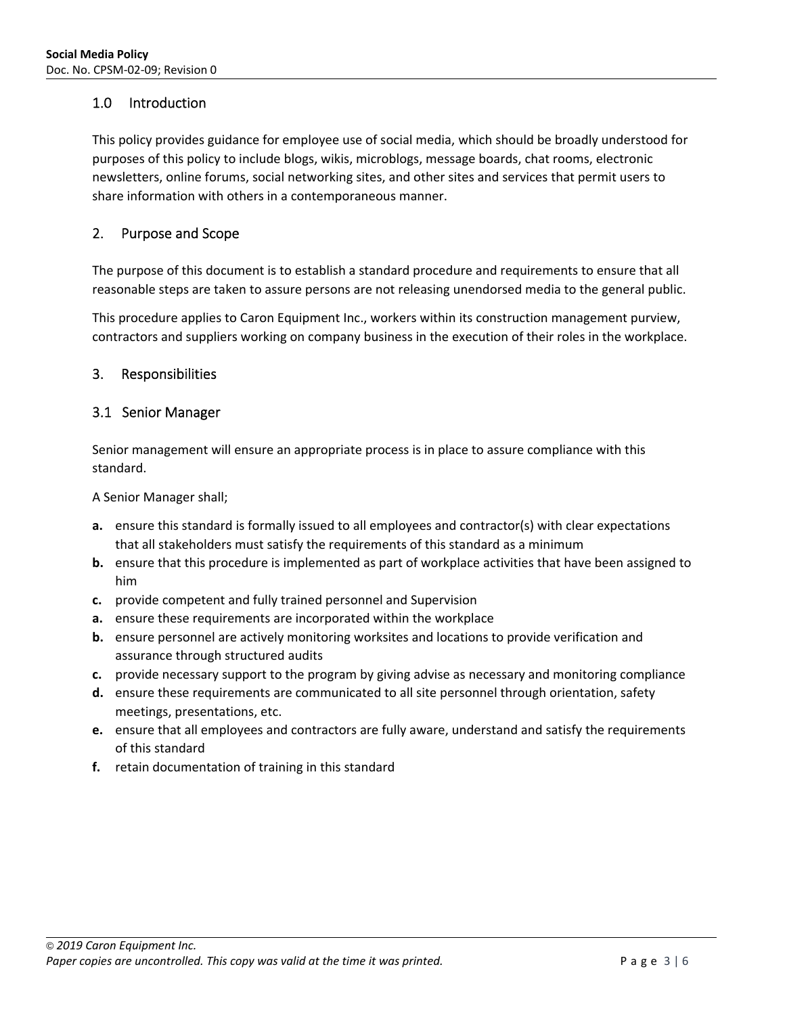# 1.0 Introduction

This policy provides guidance for employee use of social media, which should be broadly understood for purposes of this policy to include blogs, wikis, microblogs, message boards, chat rooms, electronic newsletters, online forums, social networking sites, and other sites and services that permit users to share information with others in a contemporaneous manner.

# 2. Purpose and Scope

The purpose of this document is to establish a standard procedure and requirements to ensure that all reasonable steps are taken to assure persons are not releasing unendorsed media to the general public.

This procedure applies to Caron Equipment Inc., workers within its construction management purview, contractors and suppliers working on company business in the execution of their roles in the workplace.

### 3. Responsibilities

## 3.1 Senior Manager

Senior management will ensure an appropriate process is in place to assure compliance with this standard.

A Senior Manager shall;

- **a.** ensure this standard is formally issued to all employees and contractor(s) with clear expectations that all stakeholders must satisfy the requirements of this standard as a minimum
- **b.** ensure that this procedure is implemented as part of workplace activities that have been assigned to him
- **c.** provide competent and fully trained personnel and Supervision
- **a.** ensure these requirements are incorporated within the workplace
- **b.** ensure personnel are actively monitoring worksites and locations to provide verification and assurance through structured audits
- **c.** provide necessary support to the program by giving advise as necessary and monitoring compliance
- **d.** ensure these requirements are communicated to all site personnel through orientation, safety meetings, presentations, etc.
- **e.** ensure that all employees and contractors are fully aware, understand and satisfy the requirements of this standard
- **f.** retain documentation of training in this standard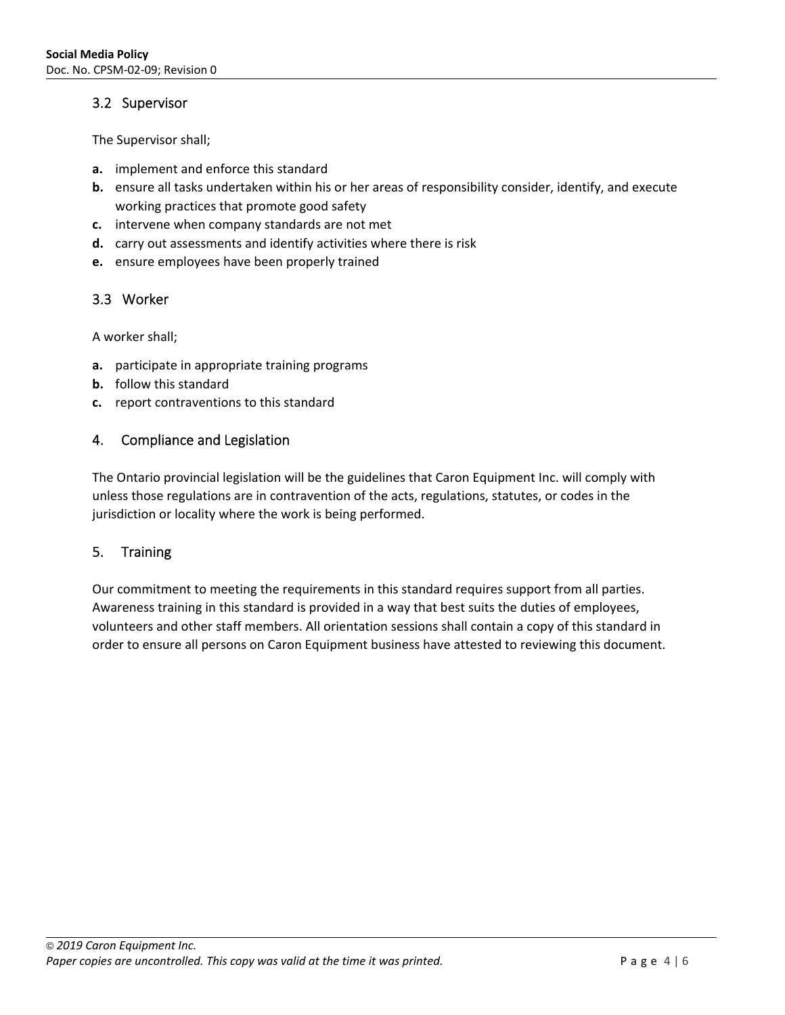# 3.2 Supervisor

The Supervisor shall;

- **a.** implement and enforce this standard
- **b.** ensure all tasks undertaken within his or her areas of responsibility consider, identify, and execute working practices that promote good safety
- **c.** intervene when company standards are not met
- **d.** carry out assessments and identify activities where there is risk
- **e.** ensure employees have been properly trained

# 3.3 Worker

A worker shall;

- **a.** participate in appropriate training programs
- **b.** follow this standard
- **c.** report contraventions to this standard

# 4. Compliance and Legislation

The Ontario provincial legislation will be the guidelines that Caron Equipment Inc. will comply with unless those regulations are in contravention of the acts, regulations, statutes, or codes in the jurisdiction or locality where the work is being performed.

# 5. Training

Our commitment to meeting the requirements in this standard requires support from all parties. Awareness training in this standard is provided in a way that best suits the duties of employees, volunteers and other staff members. All orientation sessions shall contain a copy of this standard in order to ensure all persons on Caron Equipment business have attested to reviewing this document.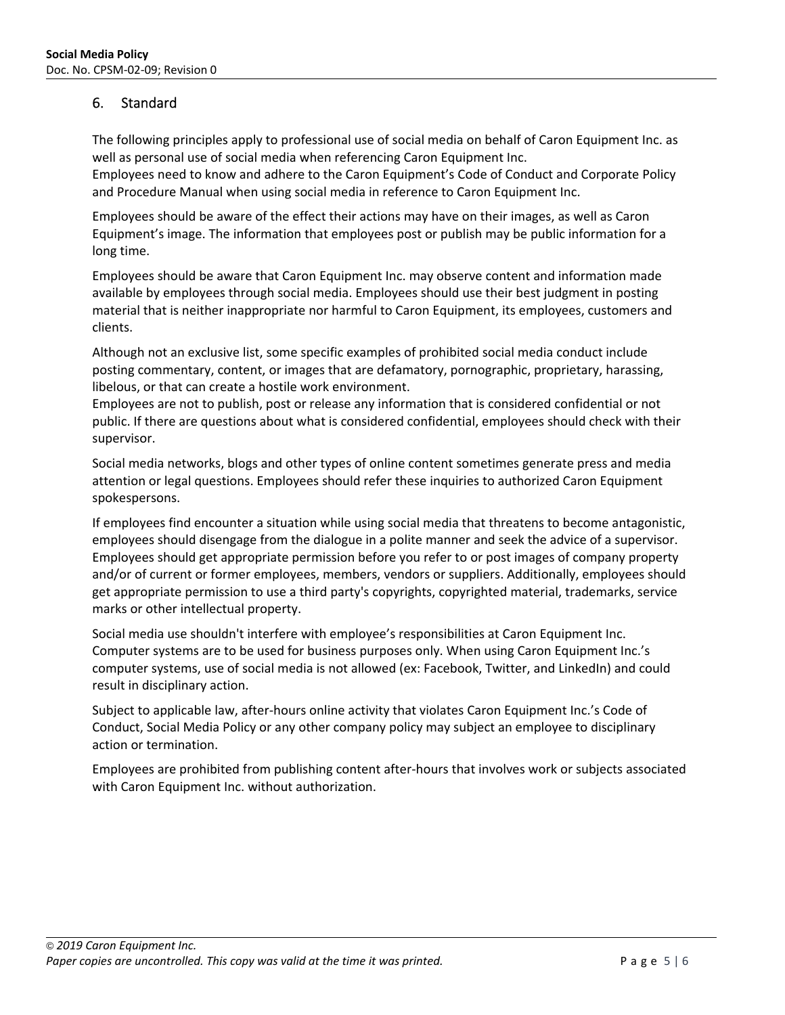# 6. Standard

The following principles apply to professional use of social media on behalf of Caron Equipment Inc. as well as personal use of social media when referencing Caron Equipment Inc.

Employees need to know and adhere to the Caron Equipment's Code of Conduct and Corporate Policy and Procedure Manual when using social media in reference to Caron Equipment Inc.

Employees should be aware of the effect their actions may have on their images, as well as Caron Equipment's image. The information that employees post or publish may be public information for a long time.

Employees should be aware that Caron Equipment Inc. may observe content and information made available by employees through social media. Employees should use their best judgment in posting material that is neither inappropriate nor harmful to Caron Equipment, its employees, customers and clients.

Although not an exclusive list, some specific examples of prohibited social media conduct include posting commentary, content, or images that are defamatory, pornographic, proprietary, harassing, libelous, or that can create a hostile work environment.

Employees are not to publish, post or release any information that is considered confidential or not public. If there are questions about what is considered confidential, employees should check with their supervisor.

Social media networks, blogs and other types of online content sometimes generate press and media attention or legal questions. Employees should refer these inquiries to authorized Caron Equipment spokespersons.

If employees find encounter a situation while using social media that threatens to become antagonistic, employees should disengage from the dialogue in a polite manner and seek the advice of a supervisor. Employees should get appropriate permission before you refer to or post images of company property and/or of current or former employees, members, vendors or suppliers. Additionally, employees should get appropriate permission to use a third party's copyrights, copyrighted material, trademarks, service marks or other intellectual property.

Social media use shouldn't interfere with employee's responsibilities at Caron Equipment Inc. Computer systems are to be used for business purposes only. When using Caron Equipment Inc.'s computer systems, use of social media is not allowed (ex: Facebook, Twitter, and LinkedIn) and could result in disciplinary action.

Subject to applicable law, after‐hours online activity that violates Caron Equipment Inc.'s Code of Conduct, Social Media Policy or any other company policy may subject an employee to disciplinary action or termination.

Employees are prohibited from publishing content after‐hours that involves work or subjects associated with Caron Equipment Inc. without authorization.